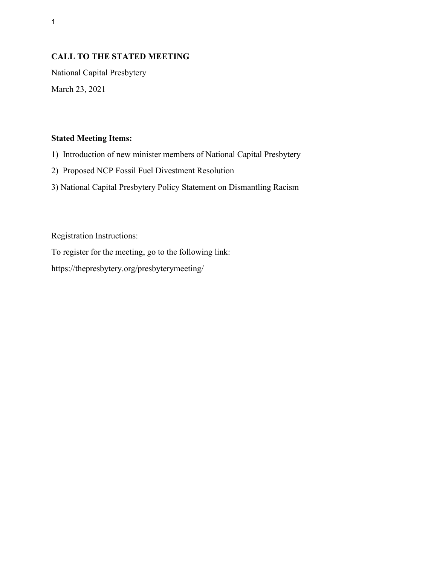# **CALL TO THE STATED MEETING**

National Capital Presbytery March 23, 2021

### **Stated Meeting Items:**

1) Introduction of new minister members of National Capital Presbytery

2) Proposed NCP Fossil Fuel Divestment Resolution

3) National Capital Presbytery Policy Statement on Dismantling Racism

Registration Instructions:

To register for the meeting, go to the following link:

https://thepresbytery.org/presbyterymeeting/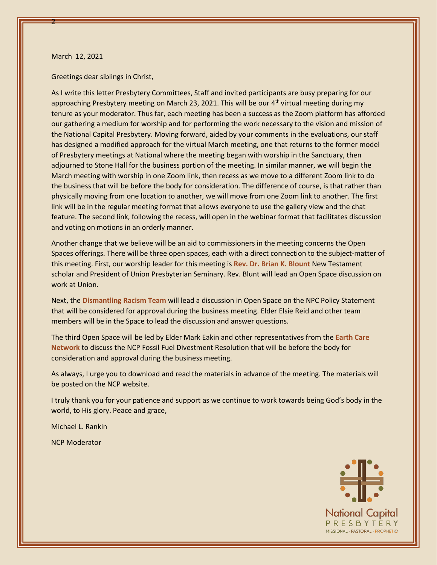#### March 12, 2021

2

Greetings dear siblings in Christ,

As I write this letter Presbytery Committees, Staff and invited participants are busy preparing for our approaching Presbytery meeting on March 23, 2021. This will be our 4<sup>th</sup> virtual meeting during my tenure as your moderator. Thus far, each meeting has been a success as the Zoom platform has afforded our gathering a medium for worship and for performing the work necessary to the vision and mission of the National Capital Presbytery. Moving forward, aided by your comments in the evaluations, our staff has designed a modified approach for the virtual March meeting, one that returns to the former model of Presbytery meetings at National where the meeting began with worship in the Sanctuary, then adjourned to Stone Hall for the business portion of the meeting. In similar manner, we will begin the March meeting with worship in one Zoom link, then recess as we move to a different Zoom link to do the business that will be before the body for consideration. The difference of course, is that rather than physically moving from one location to another, we will move from one Zoom link to another. The first link will be in the regular meeting format that allows everyone to use the gallery view and the chat feature. The second link, following the recess, will open in the webinar format that facilitates discussion and voting on motions in an orderly manner.

Another change that we believe will be an aid to commissioners in the meeting concerns the Open Spaces offerings. There will be three open spaces, each with a direct connection to the subject-matter of this meeting. First, our worship leader for this meeting is **Rev. Dr. Brian K. Blount** New Testament scholar and President of Union Presbyterian Seminary. Rev. Blunt will lead an Open Space discussion on work at Union.

Next, the **Dismantling Racism Team** will lead a discussion in Open Space on the NPC Policy Statement that will be considered for approval during the business meeting. Elder Elsie Reid and other team members will be in the Space to lead the discussion and answer questions.

The third Open Space will be led by Elder Mark Eakin and other representatives from the **Earth Care Network** to discuss the NCP Fossil Fuel Divestment Resolution that will be before the body for consideration and approval during the business meeting.

As always, I urge you to download and read the materials in advance of the meeting. The materials will be posted on the NCP website.

I truly thank you for your patience and support as we continue to work towards being God's body in the world, to His glory. Peace and grace,

Michael L. Rankin

NCP Moderator

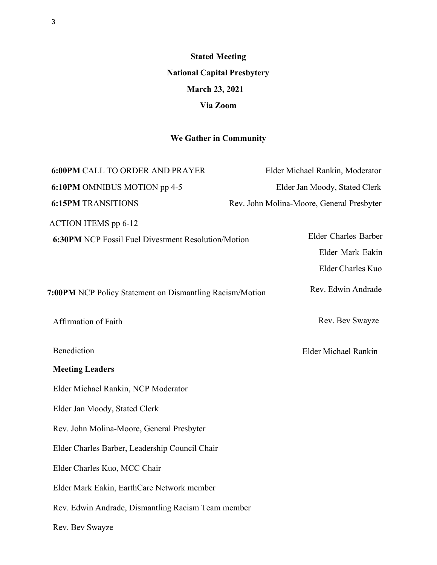**Stated Meeting National Capital Presbytery March 23, 2021 Via Zoom**

# **We Gather in Community**

| <b>6:00PM CALL TO ORDER AND PRAYER</b>                     | Elder Michael Rankin, Moderator           |
|------------------------------------------------------------|-------------------------------------------|
| 6:10PM OMNIBUS MOTION pp 4-5                               | Elder Jan Moody, Stated Clerk             |
| <b>6:15PM TRANSITIONS</b>                                  | Rev. John Molina-Moore, General Presbyter |
| <b>ACTION ITEMS</b> pp 6-12                                |                                           |
| <b>6:30PM NCP Fossil Fuel Divestment Resolution/Motion</b> | Elder Charles Barber                      |
|                                                            | Elder Mark Eakin                          |
|                                                            | Elder Charles Kuo                         |
| 7:00PM NCP Policy Statement on Dismantling Racism/Motion   | Rev. Edwin Andrade                        |
| Affirmation of Faith                                       | Rev. Bev Swayze                           |
| Benediction                                                | Elder Michael Rankin                      |
| <b>Meeting Leaders</b>                                     |                                           |
| Elder Michael Rankin, NCP Moderator                        |                                           |
| Elder Jan Moody, Stated Clerk                              |                                           |
| Rev. John Molina-Moore, General Presbyter                  |                                           |
| Elder Charles Barber, Leadership Council Chair             |                                           |
| Elder Charles Kuo, MCC Chair                               |                                           |
| Elder Mark Eakin, EarthCare Network member                 |                                           |
| Rev. Edwin Andrade, Dismantling Racism Team member         |                                           |
| Rev. Bev Swayze                                            |                                           |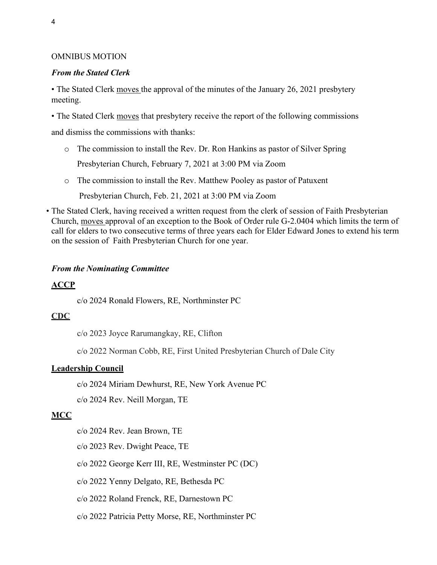### OMNIBUS MOTION

### *From the Stated Clerk*

• The Stated Clerk moves the approval of the minutes of the January 26, 2021 presbytery meeting.

• The Stated Clerk moves that presbytery receive the report of the following commissions

and dismiss the commissions with thanks:

- o The commission to install the Rev. Dr. Ron Hankins as pastor of Silver Spring
	- Presbyterian Church, February 7, 2021 at 3:00 PM via Zoom
- o The commission to install the Rev. Matthew Pooley as pastor of Patuxent Presbyterian Church, Feb. 21, 2021 at 3:00 PM via Zoom
- The Stated Clerk, having received a written request from the clerk of session of Faith Presbyterian Church, moves approval of an exception to the Book of Order rule G-2.0404 which limits the term of call for elders to two consecutive terms of three years each for Elder Edward Jones to extend his term on the session of Faith Presbyterian Church for one year.

### *From the Nominating Committee*

## **ACCP**

c/o 2024 Ronald Flowers, RE, Northminster PC

### **CDC**

c/o 2023 Joyce Rarumangkay, RE, Clifton

c/o 2022 Norman Cobb, RE, First United Presbyterian Church of Dale City

### **Leadership Council**

c/o 2024 Miriam Dewhurst, RE, New York Avenue PC

c/o 2024 Rev. Neill Morgan, TE

### **MCC**

- c/o 2024 Rev. Jean Brown, TE
- c/o 2023 Rev. Dwight Peace, TE
- c/o 2022 George Kerr III, RE, Westminster PC (DC)
- c/o 2022 Yenny Delgato, RE, Bethesda PC
- c/o 2022 Roland Frenck, RE, Darnestown PC
- c/o 2022 Patricia Petty Morse, RE, Northminster PC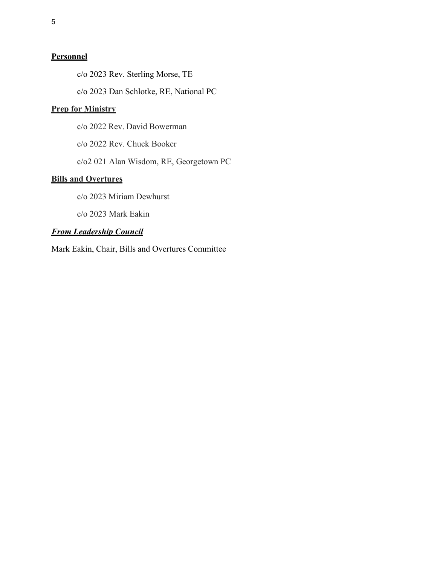### **Personnel**

c/o 2023 Rev. Sterling Morse, TE

c/o 2023 Dan Schlotke, RE, National PC

# **Prep for Ministry**

c/o 2022 Rev. David Bowerman

c/o 2022 Rev. Chuck Booker

c/o2 021 Alan Wisdom, RE, Georgetown PC

### **Bills and Overtures**

c/o 2023 Miriam Dewhurst

c/o 2023 Mark Eakin

### *From Leadership Council*

Mark Eakin, Chair, Bills and Overtures Committee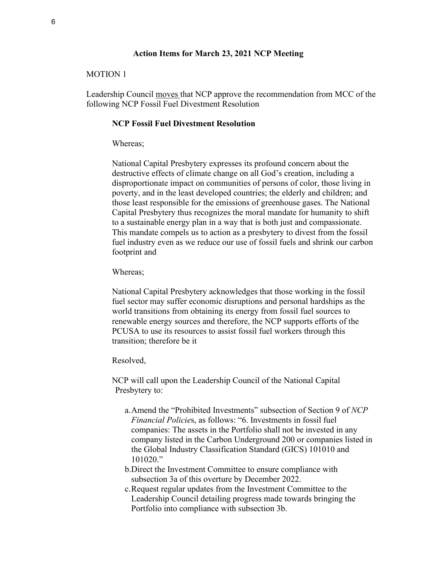#### **Action Items for March 23, 2021 NCP Meeting**

### MOTION 1

Leadership Council moves that NCP approve the recommendation from MCC of the following NCP Fossil Fuel Divestment Resolution

#### **NCP Fossil Fuel Divestment Resolution**

#### Whereas;

National Capital Presbytery expresses its profound concern about the destructive effects of climate change on all God's creation, including a disproportionate impact on communities of persons of color, those living in poverty, and in the least developed countries; the elderly and children; and those least responsible for the emissions of greenhouse gases. The National Capital Presbytery thus recognizes the moral mandate for humanity to shift to a sustainable energy plan in a way that is both just and compassionate. This mandate compels us to action as a presbytery to divest from the fossil fuel industry even as we reduce our use of fossil fuels and shrink our carbon footprint and

#### Whereas;

National Capital Presbytery acknowledges that those working in the fossil fuel sector may suffer economic disruptions and personal hardships as the world transitions from obtaining its energy from fossil fuel sources to renewable energy sources and therefore, the NCP supports efforts of the PCUSA to use its resources to assist fossil fuel workers through this transition; therefore be it

#### Resolved,

NCP will call upon the Leadership Council of the National Capital Presbytery to:

- a.Amend the "Prohibited Investments" subsection of Section 9 of *NCP Financial Policie*s, as follows: "6. Investments in fossil fuel companies: The assets in the Portfolio shall not be invested in any company listed in the Carbon Underground 200 or companies listed in the Global Industry Classification Standard (GICS) 101010 and 101020."
- b.Direct the Investment Committee to ensure compliance with subsection 3a of this overture by December 2022.
- c.Request regular updates from the Investment Committee to the Leadership Council detailing progress made towards bringing the Portfolio into compliance with subsection 3b.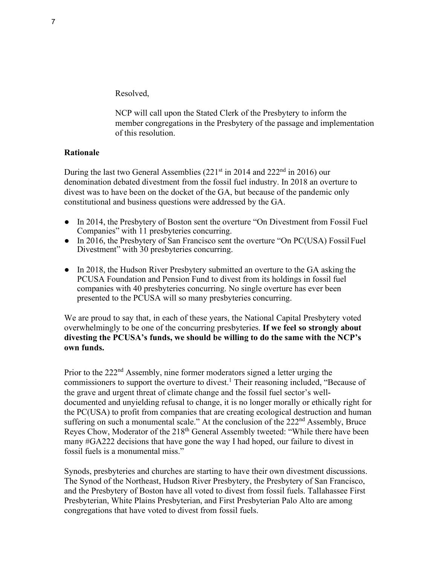Resolved,

NCP will call upon the Stated Clerk of the Presbytery to inform the member congregations in the Presbytery of the passage and implementation of this resolution.

### **Rationale**

During the last two General Assemblies  $(221<sup>st</sup>$  in 2014 and  $222<sup>nd</sup>$  in 2016) our denomination debated divestment from the fossil fuel industry. In 2018 an overture to divest was to have been on the docket of the GA, but because of the pandemic only constitutional and business questions were addressed by the GA.

- In 2014, the Presbytery of Boston sent the overture "On Divestment from Fossil Fuel Companies" with 11 presbyteries concurring.
- In 2016, the Presbytery of San Francisco sent the overture "On PC(USA) Fossil Fuel Divestment" with 30 presbyteries concurring.
- In 2018, the Hudson River Presbytery submitted an overture to the GA asking the PCUSA Foundation and Pension Fund to divest from its holdings in fossil fuel companies with 40 presbyteries concurring. No single overture has ever been presented to the PCUSA will so many presbyteries concurring.

We are proud to say that, in each of these years, the National Capital Presbytery voted overwhelmingly to be one of the concurring presbyteries. **If we feel so strongly about divesting the PCUSA's funds, we should be willing to do the same with the NCP's own funds.**

Prior to the 222<sup>nd</sup> Assembly, nine former moderators signed a letter urging the commissioners to support the overture to divest.<sup>1</sup> Their reasoning included, "Because of the grave and urgent threat of climate change and the fossil fuel sector's welldocumented and unyielding refusal to change, it is no longer morally or ethically right for the PC(USA) to profit from companies that are creating ecological destruction and human suffering on such a monumental scale." At the conclusion of the 222<sup>nd</sup> Assembly, Bruce Reyes Chow, Moderator of the 218<sup>th</sup> General Assembly tweeted: "While there have been many #GA222 decisions that have gone the way I had hoped, our failure to divest in fossil fuels is a monumental miss."

Synods, presbyteries and churches are starting to have their own divestment discussions. The Synod of the Northeast, Hudson River Presbytery, the Presbytery of San Francisco, and the Presbytery of Boston have all voted to divest from fossil fuels. Tallahassee First Presbyterian, White Plains Presbyterian, and First Presbyterian Palo Alto are among congregations that have voted to divest from fossil fuels.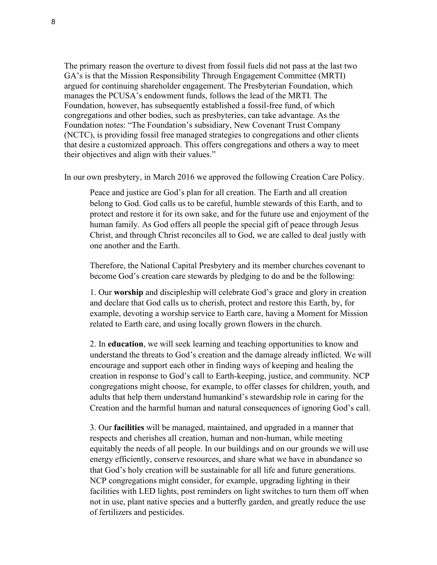The primary reason the overture to divest from fossil fuels did not pass at the last two GA's is that the Mission Responsibility Through Engagement Committee (MRTI) argued for continuing shareholder engagement. The Presbyterian Foundation, which manages the PCUSA's endowment funds, follows the lead of the MRTI. The Foundation, however, has subsequently established a fossil-free fund, of which congregations and other bodies, such as presbyteries, can take advantage. As the Foundation notes: "The Foundation's subsidiary, New Covenant Trust Company (NCTC), is providing fossil free managed strategies to congregations and other clients that desire a customized approach. This offers congregations and others a way to meet their objectives and align with their values."

In our own presbytery, in March 2016 we approved the following Creation Care Policy.

Peace and justice are God's plan for all creation. The Earth and all creation belong to God. God calls us to be careful, humble stewards of this Earth, and to protect and restore it for its own sake, and for the future use and enjoyment of the human family. As God offers all people the special gift of peace through Jesus Christ, and through Christ reconciles all to God, we are called to deal justly with one another and the Earth.

Therefore, the National Capital Presbytery and its member churches covenant to become God's creation care stewards by pledging to do and be the following:

1. Our **worship** and discipleship will celebrate God's grace and glory in creation and declare that God calls us to cherish, protect and restore this Earth, by, for example, devoting a worship service to Earth care, having a Moment for Mission related to Earth care, and using locally grown flowers in the church.

2. In **education**, we will seek learning and teaching opportunities to know and understand the threats to God's creation and the damage already inflicted. We will encourage and support each other in finding ways of keeping and healing the creation in response to God's call to Earth-keeping, justice, and community. NCP congregations might choose, for example, to offer classes for children, youth, and adults that help them understand humankind's stewardship role in caring for the Creation and the harmful human and natural consequences of ignoring God's call.

3. Our **facilities** will be managed, maintained, and upgraded in a manner that respects and cherishes all creation, human and non-human, while meeting equitably the needs of all people. In our buildings and on our grounds we will use energy efficiently, conserve resources, and share what we have in abundance so that God's holy creation will be sustainable for all life and future generations. NCP congregations might consider, for example, upgrading lighting in their facilities with LED lights, post reminders on light switches to turn them off when not in use, plant native species and a butterfly garden, and greatly reduce the use of fertilizers and pesticides.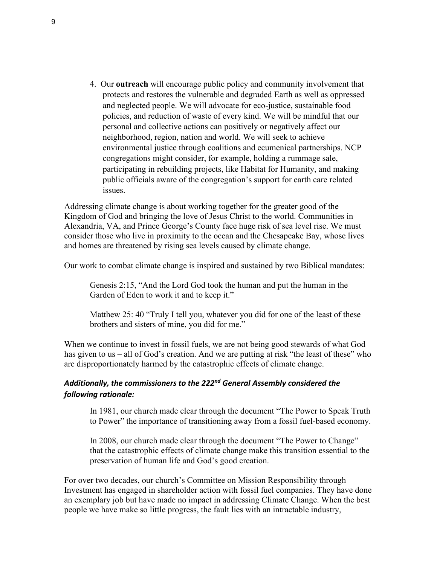4. Our **outreach** will encourage public policy and community involvement that protects and restores the vulnerable and degraded Earth as well as oppressed and neglected people. We will advocate for eco-justice, sustainable food policies, and reduction of waste of every kind. We will be mindful that our personal and collective actions can positively or negatively affect our neighborhood, region, nation and world. We will seek to achieve environmental justice through coalitions and ecumenical partnerships. NCP congregations might consider, for example, holding a rummage sale, participating in rebuilding projects, like Habitat for Humanity, and making public officials aware of the congregation's support for earth care related issues.

Addressing climate change is about working together for the greater good of the Kingdom of God and bringing the love of Jesus Christ to the world. Communities in Alexandria, VA, and Prince George's County face huge risk of sea level rise. We must consider those who live in proximity to the ocean and the Chesapeake Bay, whose lives and homes are threatened by rising sea levels caused by climate change.

Our work to combat climate change is inspired and sustained by two Biblical mandates:

Genesis 2:15, "And the Lord God took the human and put the human in the Garden of Eden to work it and to keep it."

Matthew 25: 40 "Truly I tell you, whatever you did for one of the least of these brothers and sisters of mine, you did for me."

When we continue to invest in fossil fuels, we are not being good stewards of what God has given to us – all of God's creation. And we are putting at risk "the least of these" who are disproportionately harmed by the catastrophic effects of climate change.

### *Additionally, the commissioners to the 222nd General Assembly considered the following rationale:*

In 1981, our church made clear through the document "The Power to Speak Truth to Power" the importance of transitioning away from a fossil fuel-based economy.

In 2008, our church made clear through the document "The Power to Change" that the catastrophic effects of climate change make this transition essential to the preservation of human life and God's good creation.

For over two decades, our church's Committee on Mission Responsibility through Investment has engaged in shareholder action with fossil fuel companies. They have done an exemplary job but have made no impact in addressing Climate Change. When the best people we have make so little progress, the fault lies with an intractable industry,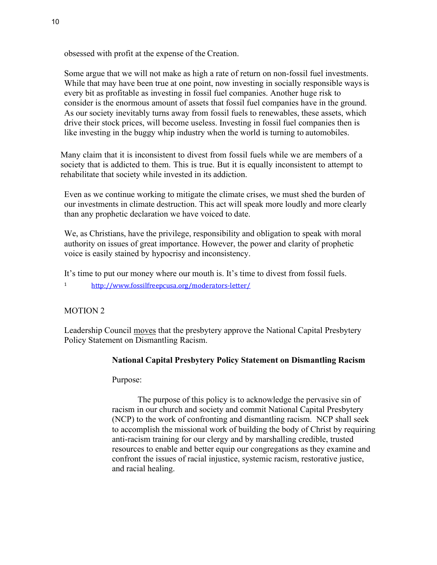obsessed with profit at the expense of the Creation.

Some argue that we will not make as high a rate of return on non-fossil fuel investments. While that may have been true at one point, now investing in socially responsible ways is every bit as profitable as investing in fossil fuel companies. Another huge risk to consider is the enormous amount of assets that fossil fuel companies have in the ground. As our society inevitably turns away from fossil fuels to renewables, these assets, which drive their stock prices, will become useless. Investing in fossil fuel companies then is like investing in the buggy whip industry when the world is turning to automobiles.

Many claim that it is inconsistent to divest from fossil fuels while we are members of a society that is addicted to them. This is true. But it is equally inconsistent to attempt to rehabilitate that society while invested in its addiction.

Even as we continue working to mitigate the climate crises, we must shed the burden of our investments in climate destruction. This act will speak more loudly and more clearly than any prophetic declaration we have voiced to date.

We, as Christians, have the privilege, responsibility and obligation to speak with moral authority on issues of great importance. However, the power and clarity of prophetic voice is easily stained by hypocrisy and inconsistency.

It's time to put our money where our mouth is. It's time to divest from fossil fuels.

<sup>1</sup> <http://www.fossilfreepcusa.org/moderators-letter/>

### MOTION 2

Leadership Council moves that the presbytery approve the National Capital Presbytery Policy Statement on Dismantling Racism.

### **National Capital Presbytery Policy Statement on Dismantling Racism**

Purpose:

The purpose of this policy is to acknowledge the pervasive sin of racism in our church and society and commit National Capital Presbytery (NCP) to the work of confronting and dismantling racism. NCP shall seek to accomplish the missional work of building the body of Christ by requiring anti-racism training for our clergy and by marshalling credible, trusted resources to enable and better equip our congregations as they examine and confront the issues of racial injustice, systemic racism, restorative justice, and racial healing.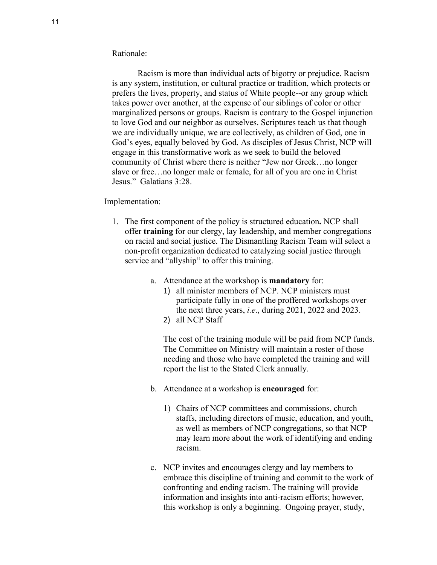#### Rationale:

Racism is more than individual acts of bigotry or prejudice. Racism is any system, institution, or cultural practice or tradition, which protects or prefers the lives, property, and status of White people--or any group which takes power over another, at the expense of our siblings of color or other marginalized persons or groups. Racism is contrary to the Gospel injunction to love God and our neighbor as ourselves. Scriptures teach us that though we are individually unique, we are collectively, as children of God, one in God's eyes, equally beloved by God. As disciples of Jesus Christ, NCP will engage in this transformative work as we seek to build the beloved community of Christ where there is neither "Jew nor Greek…no longer slave or free…no longer male or female, for all of you are one in Christ Jesus." Galatians 3:28.

#### Implementation:

- 1. The first component of the policy is structured education**.** NCP shall offer **training** for our clergy, lay leadership, and member congregations on racial and social justice. The Dismantling Racism Team will select a non-profit organization dedicated to catalyzing social justice through service and "allyship" to offer this training.
	- a. Attendance at the workshop is **mandatory** for:
		- 1) all minister members of NCP. NCP ministers must participate fully in one of the proffered workshops over the next three years, *i.e*., during 2021, 2022 and 2023.
		- 2) all NCP Staff

The cost of the training module will be paid from NCP funds. The Committee on Ministry will maintain a roster of those needing and those who have completed the training and will report the list to the Stated Clerk annually.

- b. Attendance at a workshop is **encouraged** for:
	- 1) Chairs of NCP committees and commissions, church staffs, including directors of music, education, and youth, as well as members of NCP congregations, so that NCP may learn more about the work of identifying and ending racism.
- c. NCP invites and encourages clergy and lay members to embrace this discipline of training and commit to the work of confronting and ending racism. The training will provide information and insights into anti-racism efforts; however, this workshop is only a beginning. Ongoing prayer, study,